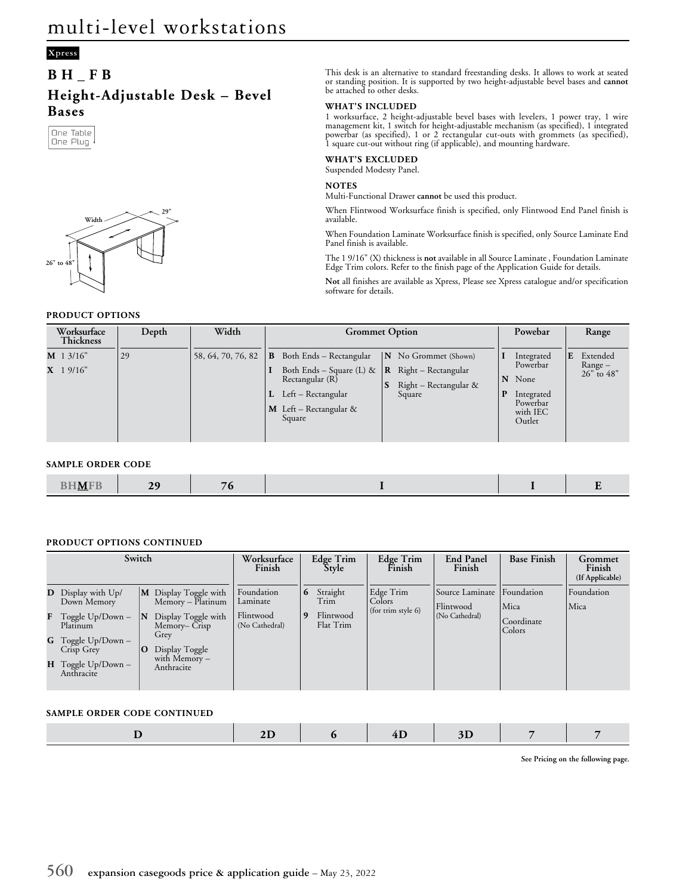# **Xpress**

# **BH\_FB Height-Adjustable Desk – Bevel Bases**





## **PRODUCT OPTIONS**

This desk is an alternative to standard freestanding desks. It allows to work at seated or standing position. It is supported by two height-adjustable bevel bases and **cannot** be attached to other desks.

#### **WHAT'S INCLUDED**

1 worksurface, 2 height-adjustable bevel bases with levelers, 1 power tray, 1 wire management kit, 1 switch for height-adjustable mechanism (as specified), 1 integrated powerbar (as specified), 1 or 2 rectangular cut-outs with grommets (as specified), 1 square cut-out without ring (if applicable), and mounting hardware.

### **WHAT'S EXCLUDED**

Suspended Modesty Panel.

# **NOTES**

Multi-Functional Drawer **cannot** be used this product.

When Flintwood Worksurface finish is specified, only Flintwood End Panel finish is available.

When Foundation Laminate Worksurface finish is specified, only Source Laminate End Panel finish is available.

The 1 9/16" (X) thickness is **not** available in all Source Laminate , Foundation Laminate Edge Trim colors. Refer to the finish page of the Application Guide for details.

**Not** all finishes are available as Xpress, Please see Xpress catalogue and/or specification software for details.

| Width<br>Worksurface<br>Depth<br><b>Thickness</b> | <b>Grommet Option</b>                                           | Powebar                     | Range                   |
|---------------------------------------------------|-----------------------------------------------------------------|-----------------------------|-------------------------|
| $M$ 1 3/16"<br>58, 64, 70, 76, 82<br>29           | Both Ends - Rectangular<br>B.<br>N No Grommet (Shown)           | Integrated                  | E<br>Extended           |
| $X$ 1 9/16"                                       | Both Ends – Square (L) &<br>Right – Rectangular<br>$\mathbf{R}$ | Powerbar<br>N None          | Range –<br>$26"$ to 48" |
|                                                   | Rectangular (R)<br>Right - Rectangular &                        |                             |                         |
|                                                   | $L$ Left – Rectangular<br>Square                                | D<br>Integrated<br>Powerbar |                         |
|                                                   | <b>M</b> Left – Rectangular &<br>Square                         | with IEC                    |                         |
|                                                   |                                                                 | Outlet                      |                         |
|                                                   |                                                                 |                             |                         |

#### **SAMPLE ORDER CODE**

| <b>BHMFB</b> | $\overline{2}$ | . . |  |  |
|--------------|----------------|-----|--|--|
|              |                |     |  |  |

## **PRODUCT OPTIONS CONTINUED**

| Switch |                                                        |          | Worksurface<br>Finish                       |                             | Edge Trim<br>Style | Edge Trim<br>Finish    | <b>End Panel</b><br>Finish | <b>Base Finish</b>          | Grommet<br>Finish<br>(If Applicable) |            |
|--------|--------------------------------------------------------|----------|---------------------------------------------|-----------------------------|--------------------|------------------------|----------------------------|-----------------------------|--------------------------------------|------------|
|        | <b>D</b> Display with Up/                              |          | M Display Toggle with<br>Memory – Platinum  | Foundation<br>Laminate      | 6                  | Straight<br>Trim       | Edge Trim<br>Colors        | Source Laminate             | Foundation                           | Foundation |
|        | Down Memory<br><b>F</b> Toggle $Up/Down -$<br>Platinum | IN<br>10 | Display Toggle with<br>Memory-Crisp<br>Grey | Flintwood<br>(No Cathedral) | 9                  | Flintwood<br>Flat Trim | (for trim style 6)         | Flintwood<br>(No Cathedral) | Mica<br>Coordinate<br>Colors         | Mica       |
|        | <b>G</b> Toggle Up/Down –<br>Crisp Grey                |          | Display Toggle                              |                             |                    |                        |                            |                             |                                      |            |
|        | $H$ Toggle Up/Down -<br>Anthracite                     |          | with Memory -<br>Anthracite                 |                             |                    |                        |                            |                             |                                      |            |

## **SAMPLE ORDER CODE CONTINUED**

**See Pricing on the following page.**